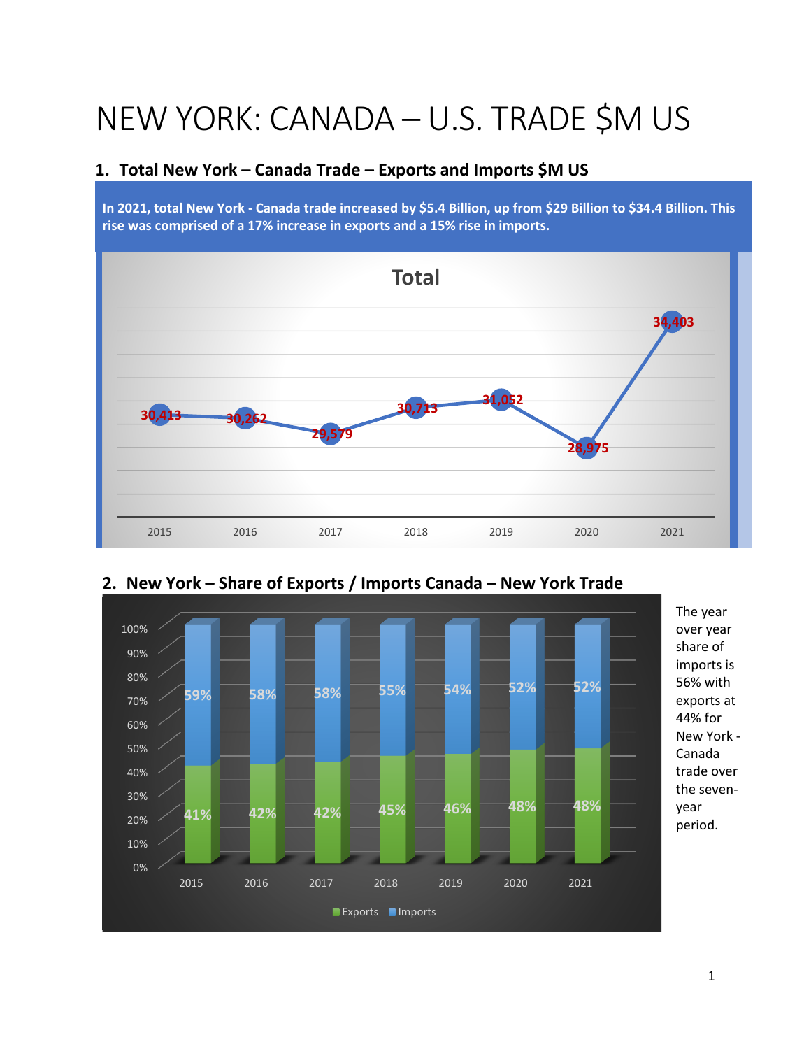# NEW YORK: CANADA – U.S. TRADE \$M US

## **1. Total New York – Canada Trade – Exports and Imports \$M US**

**In 2021, total New York - Canada trade increased by \$5.4 Billion, up from \$29 Billion to \$34.4 Billion. This rise was comprised of a 17% increase in exports and a 15% rise in imports.** 





# **2. New York – Share of Exports / Imports Canada – New York Trade**

1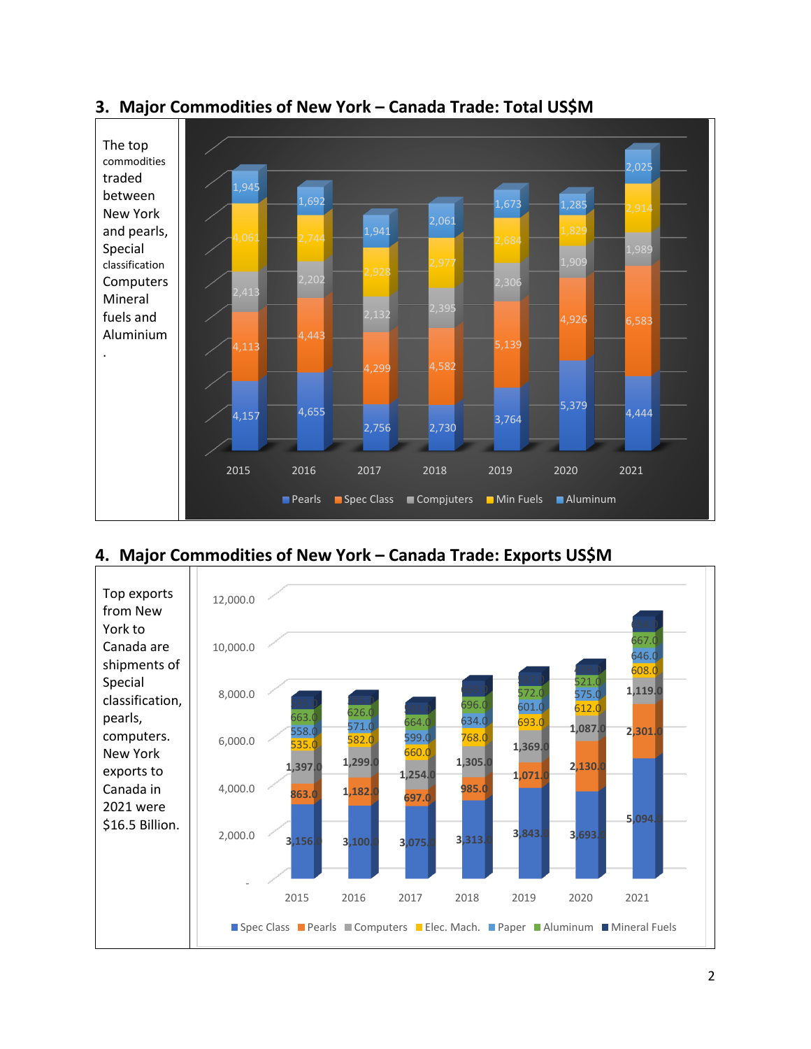

## **3. Major Commodities of New York – Canada Trade: Total US\$M**

**4. Major Commodities of New York – Canada Trade: Exports US\$M**

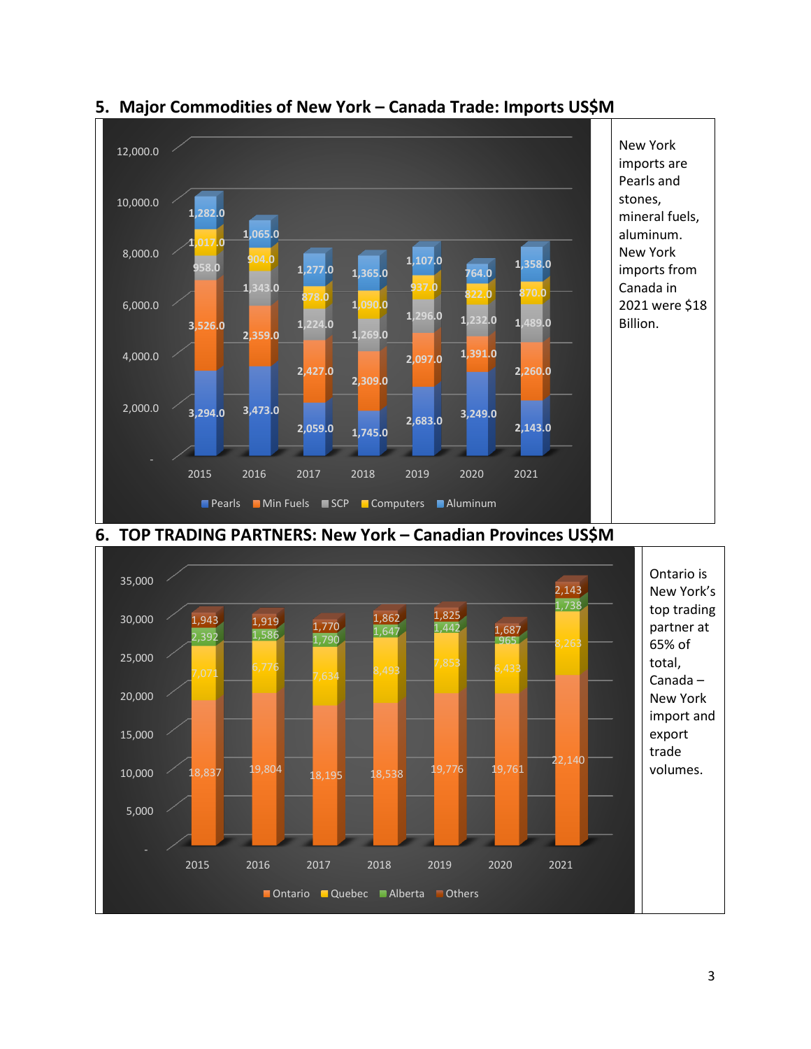

# **5. Major Commodities of New York – Canada Trade: Imports US\$M**



### **6. TOP TRADING PARTNERS: New York – Canadian Provinces US\$M**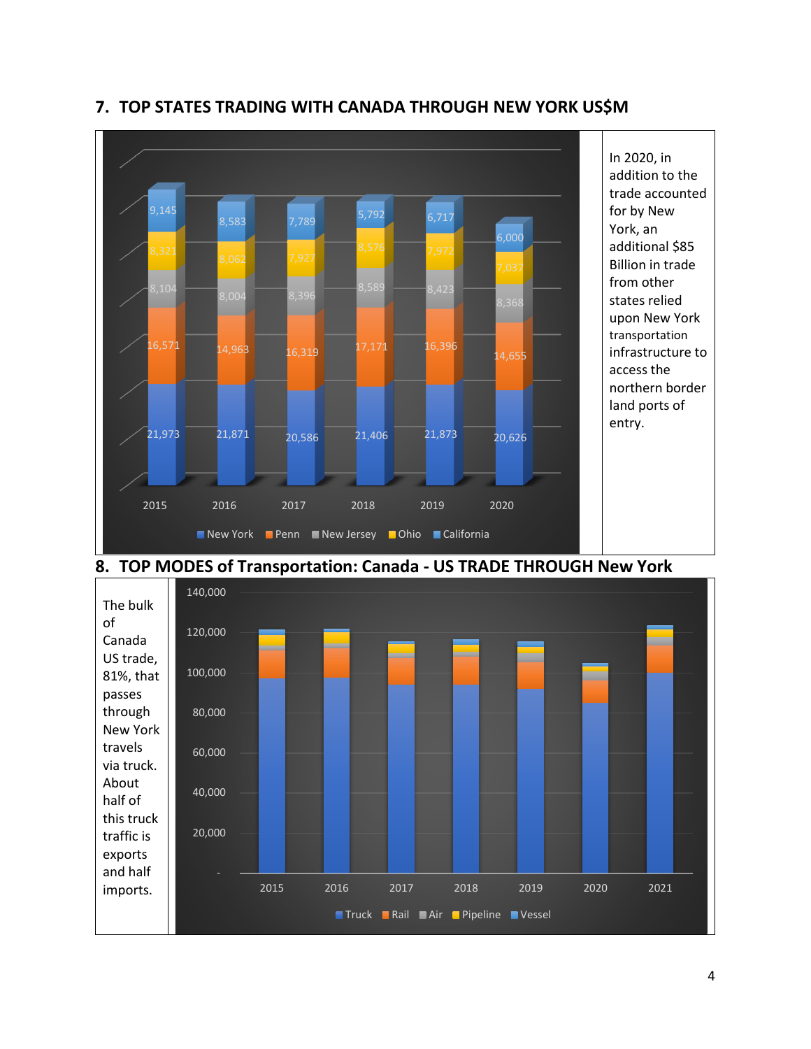![](_page_3_Figure_0.jpeg)

## **7. TOP STATES TRADING WITH CANADA THROUGH NEW YORK US\$M**

### **8. TOP MODES of Transportation: Canada - US TRADE THROUGH New York**

![](_page_3_Figure_3.jpeg)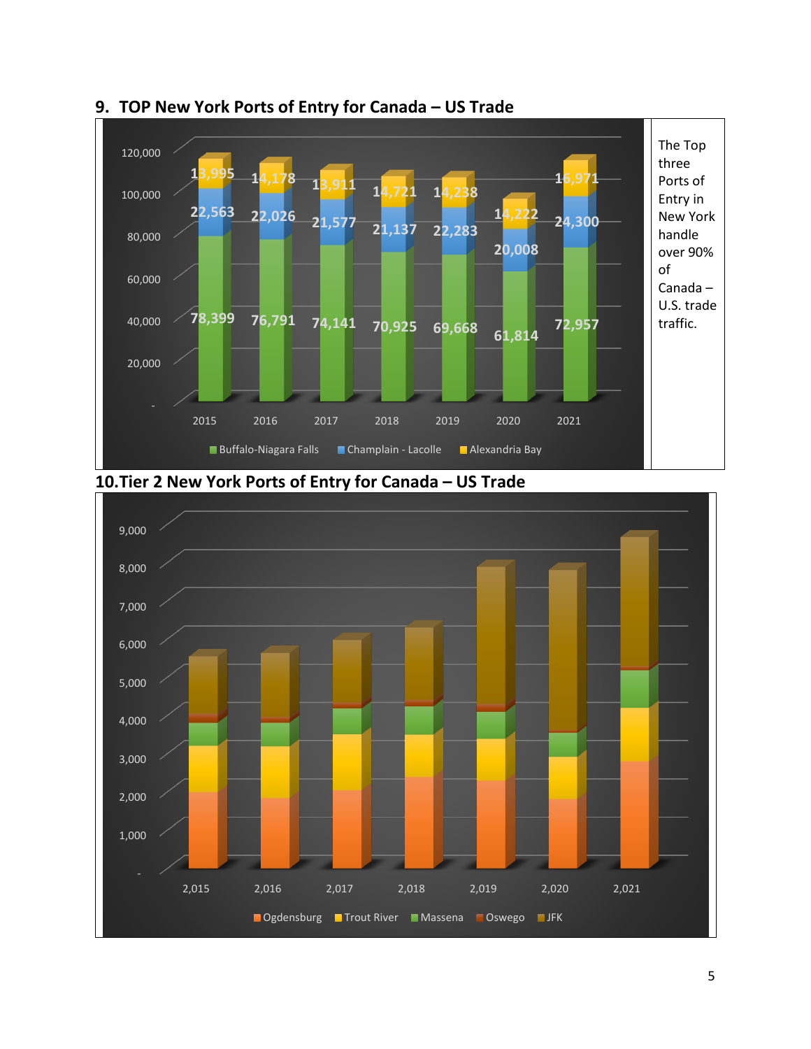![](_page_4_Figure_0.jpeg)

### **9. TOP New York Ports of Entry for Canada – US Trade**

![](_page_4_Figure_2.jpeg)

![](_page_4_Figure_3.jpeg)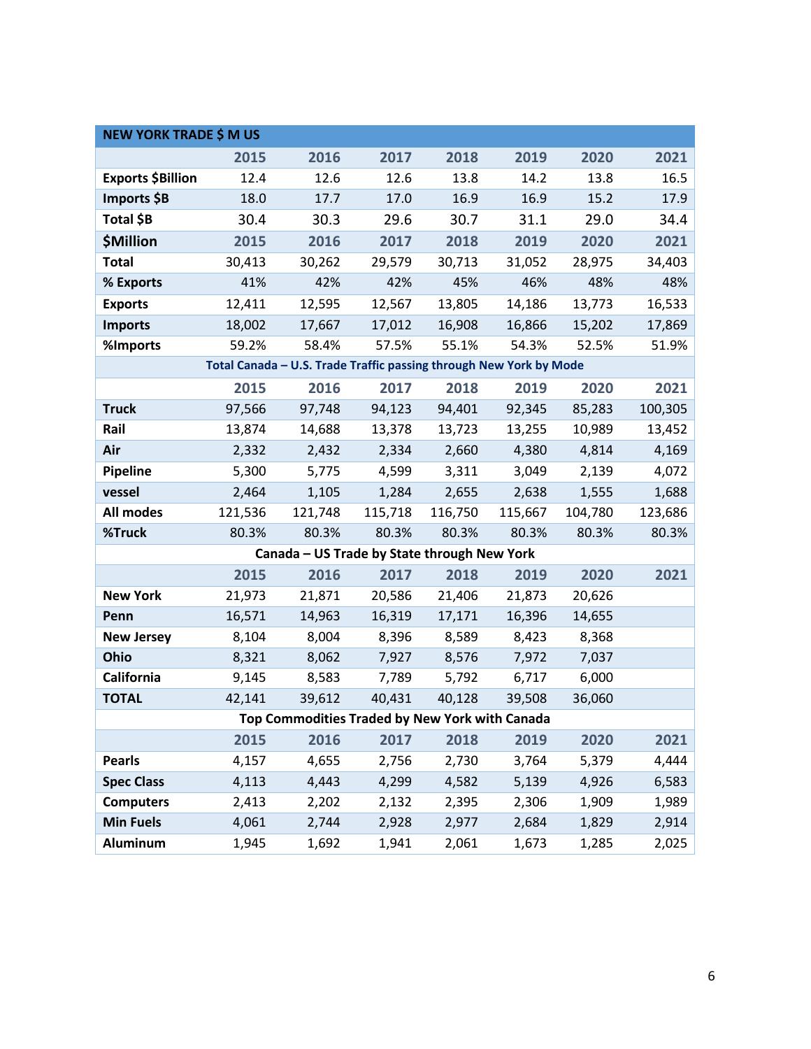| <b>NEW YORK TRADE \$ M US</b>                                      |         |                                             |         |         |         |         |         |  |
|--------------------------------------------------------------------|---------|---------------------------------------------|---------|---------|---------|---------|---------|--|
|                                                                    | 2015    | 2016                                        | 2017    | 2018    | 2019    | 2020    | 2021    |  |
| <b>Exports \$Billion</b>                                           | 12.4    | 12.6                                        | 12.6    | 13.8    | 14.2    | 13.8    | 16.5    |  |
| Imports \$B                                                        | 18.0    | 17.7                                        | 17.0    | 16.9    | 16.9    | 15.2    | 17.9    |  |
| Total \$B                                                          | 30.4    | 30.3                                        | 29.6    | 30.7    | 31.1    | 29.0    | 34.4    |  |
| <b>\$Million</b>                                                   | 2015    | 2016                                        | 2017    | 2018    | 2019    | 2020    | 2021    |  |
| <b>Total</b>                                                       | 30,413  | 30,262                                      | 29,579  | 30,713  | 31,052  | 28,975  | 34,403  |  |
| % Exports                                                          | 41%     | 42%                                         | 42%     | 45%     | 46%     | 48%     | 48%     |  |
| <b>Exports</b>                                                     | 12,411  | 12,595                                      | 12,567  | 13,805  | 14,186  | 13,773  | 16,533  |  |
| <b>Imports</b>                                                     | 18,002  | 17,667                                      | 17,012  | 16,908  | 16,866  | 15,202  | 17,869  |  |
| %Imports                                                           | 59.2%   | 58.4%                                       | 57.5%   | 55.1%   | 54.3%   | 52.5%   | 51.9%   |  |
| Total Canada - U.S. Trade Traffic passing through New York by Mode |         |                                             |         |         |         |         |         |  |
|                                                                    | 2015    | 2016                                        | 2017    | 2018    | 2019    | 2020    | 2021    |  |
| <b>Truck</b>                                                       | 97,566  | 97,748                                      | 94,123  | 94,401  | 92,345  | 85,283  | 100,305 |  |
| Rail                                                               | 13,874  | 14,688                                      | 13,378  | 13,723  | 13,255  | 10,989  | 13,452  |  |
| Air                                                                | 2,332   | 2,432                                       | 2,334   | 2,660   | 4,380   | 4,814   | 4,169   |  |
| Pipeline                                                           | 5,300   | 5,775                                       | 4,599   | 3,311   | 3,049   | 2,139   | 4,072   |  |
| vessel                                                             | 2,464   | 1,105                                       | 1,284   | 2,655   | 2,638   | 1,555   | 1,688   |  |
| All modes                                                          | 121,536 | 121,748                                     | 115,718 | 116,750 | 115,667 | 104,780 | 123,686 |  |
| %Truck                                                             | 80.3%   | 80.3%                                       | 80.3%   | 80.3%   | 80.3%   | 80.3%   | 80.3%   |  |
|                                                                    |         | Canada - US Trade by State through New York |         |         |         |         |         |  |
|                                                                    | 2015    | 2016                                        | 2017    | 2018    | 2019    | 2020    | 2021    |  |
| <b>New York</b>                                                    | 21,973  | 21,871                                      | 20,586  | 21,406  | 21,873  | 20,626  |         |  |
| Penn                                                               | 16,571  | 14,963                                      | 16,319  | 17,171  | 16,396  | 14,655  |         |  |
| <b>New Jersey</b>                                                  | 8,104   | 8,004                                       | 8,396   | 8,589   | 8,423   | 8,368   |         |  |
| Ohio                                                               | 8,321   | 8,062                                       | 7,927   | 8,576   | 7,972   | 7,037   |         |  |
| California                                                         | 9,145   | 8,583                                       | 7,789   | 5,792   | 6,717   | 6,000   |         |  |
| <b>TOTAL</b>                                                       | 42,141  | 39,612                                      | 40,431  | 40,128  | 39,508  | 36,060  |         |  |
| Top Commodities Traded by New York with Canada                     |         |                                             |         |         |         |         |         |  |
|                                                                    | 2015    | 2016                                        | 2017    | 2018    | 2019    | 2020    | 2021    |  |
| <b>Pearls</b>                                                      | 4,157   | 4,655                                       | 2,756   | 2,730   | 3,764   | 5,379   | 4,444   |  |
| <b>Spec Class</b>                                                  | 4,113   | 4,443                                       | 4,299   | 4,582   | 5,139   | 4,926   | 6,583   |  |
| <b>Computers</b>                                                   | 2,413   | 2,202                                       | 2,132   | 2,395   | 2,306   | 1,909   | 1,989   |  |
| <b>Min Fuels</b>                                                   | 4,061   | 2,744                                       | 2,928   | 2,977   | 2,684   | 1,829   | 2,914   |  |
| Aluminum                                                           | 1,945   | 1,692                                       | 1,941   | 2,061   | 1,673   | 1,285   | 2,025   |  |